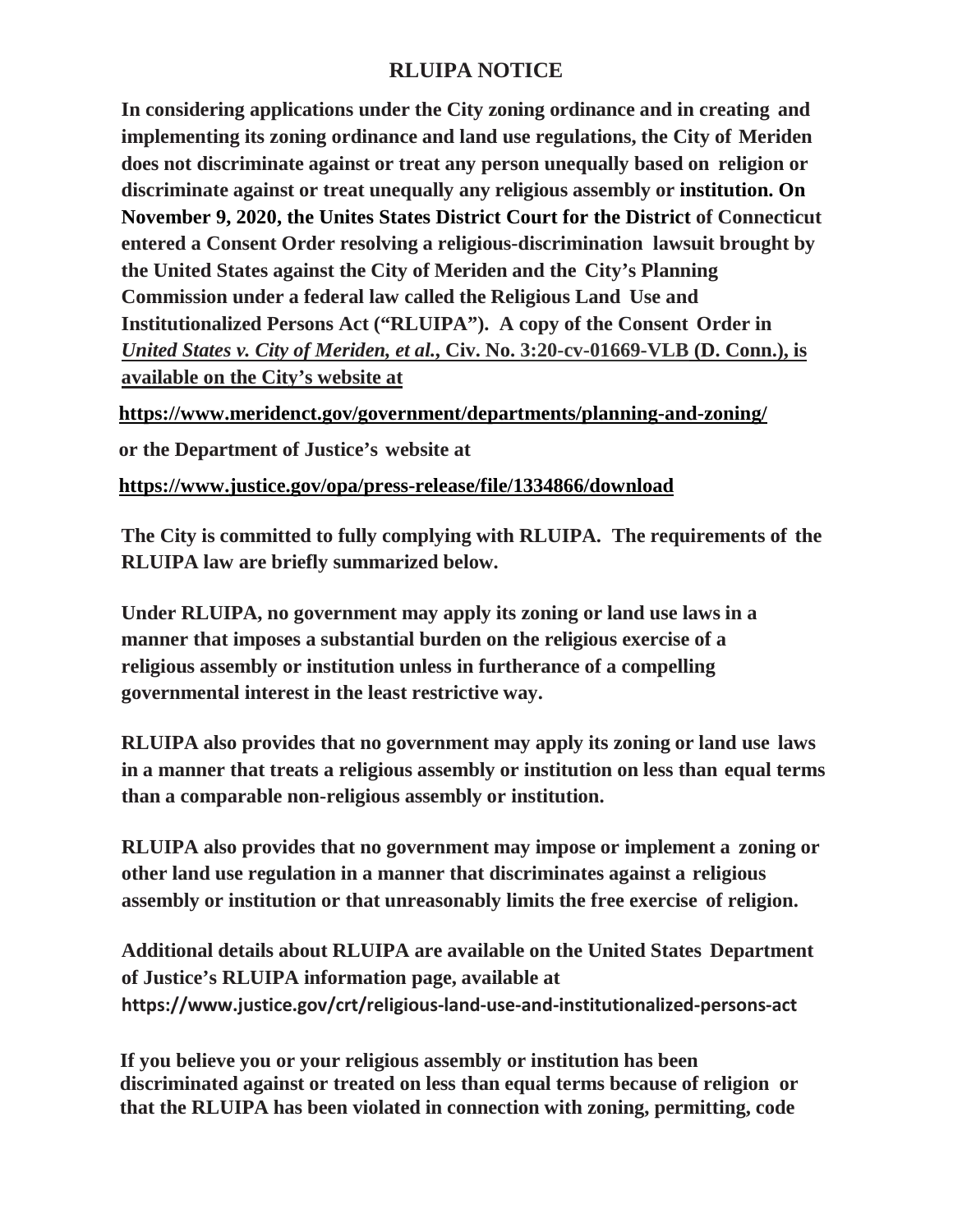## **RLUIPA NOTICE**

**In considering applications under the City zoning ordinance and in creating and implementing its zoning ordinance and land use regulations, the City of Meriden does not discriminate against or treat any person unequally based on religion or discriminate against or treat unequally any religious assembly or institution. On November 9, 2020, the Unites States District Court for the District of Connecticut entered a Consent Order resolving a religious-discrimination lawsuit brought by the United States against the City of Meriden and the City's Planning Commission under a federal law called the Religious Land Use and Institutionalized Persons Act ("RLUIPA"). A copy of the Consent Order in** *United States v. City of Meriden, et al.***, Civ. No. 3:20-cv-01669-VLB (D. Conn.), is available on the City's website at**

**https://www.meridenct.gov/government/departments/planning-and-zoning/**

**or the Department of Justice's website at**

**<https://www.justice.gov/opa/press-release/file/1334866/download>**

**The City is committed to fully complying with RLUIPA. The requirements of the RLUIPA law are briefly summarized below.**

**Under RLUIPA, no government may apply its zoning or land use laws in a manner that imposes a substantial burden on the religious exercise of a religious assembly or institution unless in furtherance of a compelling governmental interest in the least restrictive way.**

**RLUIPA also provides that no government may apply its zoning or land use laws in a manner that treats a religious assembly or institution on less than equal terms than a comparable non-religious assembly or institution.**

**RLUIPA also provides that no government may impose or implement a zoning or other land use regulation in a manner that discriminates against a religious assembly or institution or that unreasonably limits the free exercise of religion.**

**Additional details about RLUIPA are available on the United States Department of Justice's RLUIPA information page, available at https:[//www.justice.gov/crt/religious-land-use-and-institutionalized-persons-a](http://www.justice.gov/crt/religious-land-use-and-institutionalized-persons-)ct**

**If you believe you or your religious assembly or institution has been discriminated against or treated on less than equal terms because of religion or that the RLUIPA has been violated in connection with zoning, permitting, code**